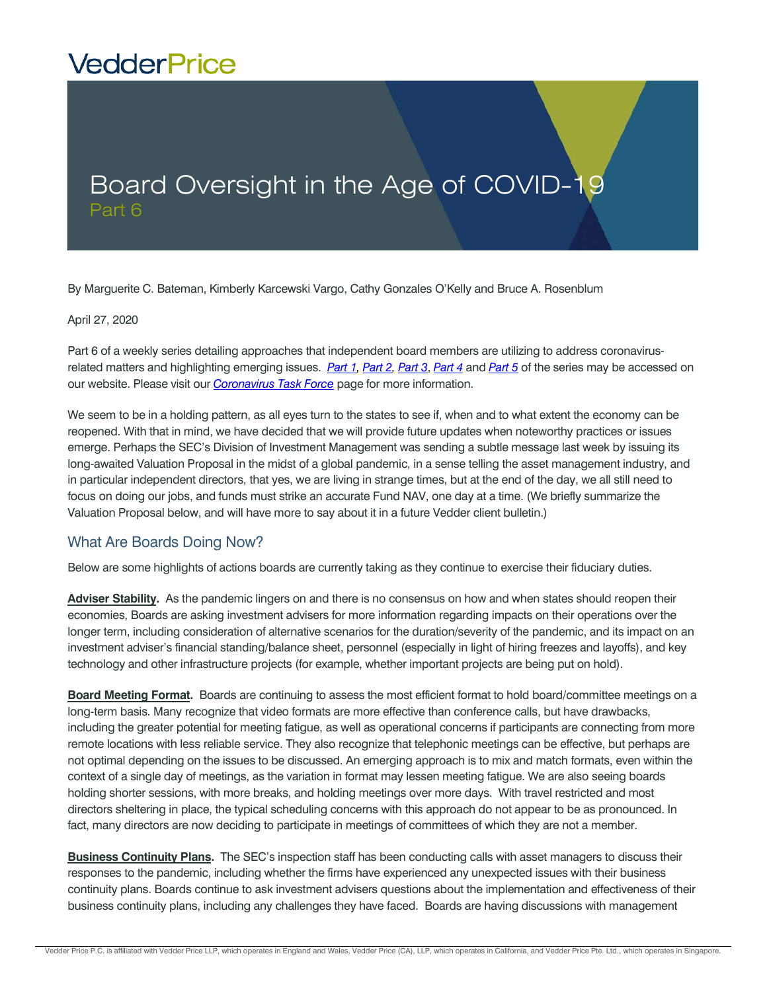## **VedderPrice**

## Board Oversight in the Age of COVID-1 Part 6

By Marguerite C. Bateman, Kimberly Karcewski Vargo, Cathy Gonzales O'Kelly and Bruce A. Rosenblum

April 27, 2020

Part 6 of a weekly series detailing approaches that independent board members are utilizing to address coronavirusrelated matters and highlighting emerging issues. *[Part 1,](https://www.vedderprice.com/board-oversight-in-the-age-of-covid-19) [Part 2,](https://www.vedderprice.com/board-oversight-in-the-age-of-covid-19-part-two) [Part 3](https://www.vedderprice.com/board-oversight-in-the-age-of-covid-19-part-three)*, *[Part 4](https://www.vedderprice.com/board-oversight-in-the-age-of-covid-19-part-four)* and *[Part 5](https://www.vedderprice.com/board-oversight-in-the-age-of-covid-19-part-five)* of the series may be accessed on our website. Please visit our *[Coronavirus Task Force](https://www.vedderprice.com/coronavirus-task-force-investment-services-resources)* page for more information.

We seem to be in a holding pattern, as all eyes turn to the states to see if, when and to what extent the economy can be reopened. With that in mind, we have decided that we will provide future updates when noteworthy practices or issues emerge. Perhaps the SEC's Division of Investment Management was sending a subtle message last week by issuing its long-awaited Valuation Proposal in the midst of a global pandemic, in a sense telling the asset management industry, and in particular independent directors, that yes, we are living in strange times, but at the end of the day, we all still need to focus on doing our jobs, and funds must strike an accurate Fund NAV, one day at a time. (We briefly summarize the Valuation Proposal below, and will have more to say about it in a future Vedder client bulletin.)

## What Are Boards Doing Now?

Below are some highlights of actions boards are currently taking as they continue to exercise their fiduciary duties.

**Adviser Stability.** As the pandemic lingers on and there is no consensus on how and when states should reopen their economies, Boards are asking investment advisers for more information regarding impacts on their operations over the longer term, including consideration of alternative scenarios for the duration/severity of the pandemic, and its impact on an investment adviser's financial standing/balance sheet, personnel (especially in light of hiring freezes and layoffs), and key technology and other infrastructure projects (for example, whether important projects are being put on hold).

**Board Meeting Format.** Boards are continuing to assess the most efficient format to hold board/committee meetings on a long-term basis. Many recognize that video formats are more effective than conference calls, but have drawbacks, including the greater potential for meeting fatigue, as well as operational concerns if participants are connecting from more remote locations with less reliable service. They also recognize that telephonic meetings can be effective, but perhaps are not optimal depending on the issues to be discussed. An emerging approach is to mix and match formats, even within the context of a single day of meetings, as the variation in format may lessen meeting fatigue. We are also seeing boards holding shorter sessions, with more breaks, and holding meetings over more days. With travel restricted and most directors sheltering in place, the typical scheduling concerns with this approach do not appear to be as pronounced. In fact, many directors are now deciding to participate in meetings of committees of which they are not a member.

**Business Continuity Plans.** The SEC's inspection staff has been conducting calls with asset managers to discuss their responses to the pandemic, including whether the firms have experienced any unexpected issues with their business continuity plans. Boards continue to ask investment advisers questions about the implementation and effectiveness of their business continuity plans, including any challenges they have faced. Boards are having discussions with management